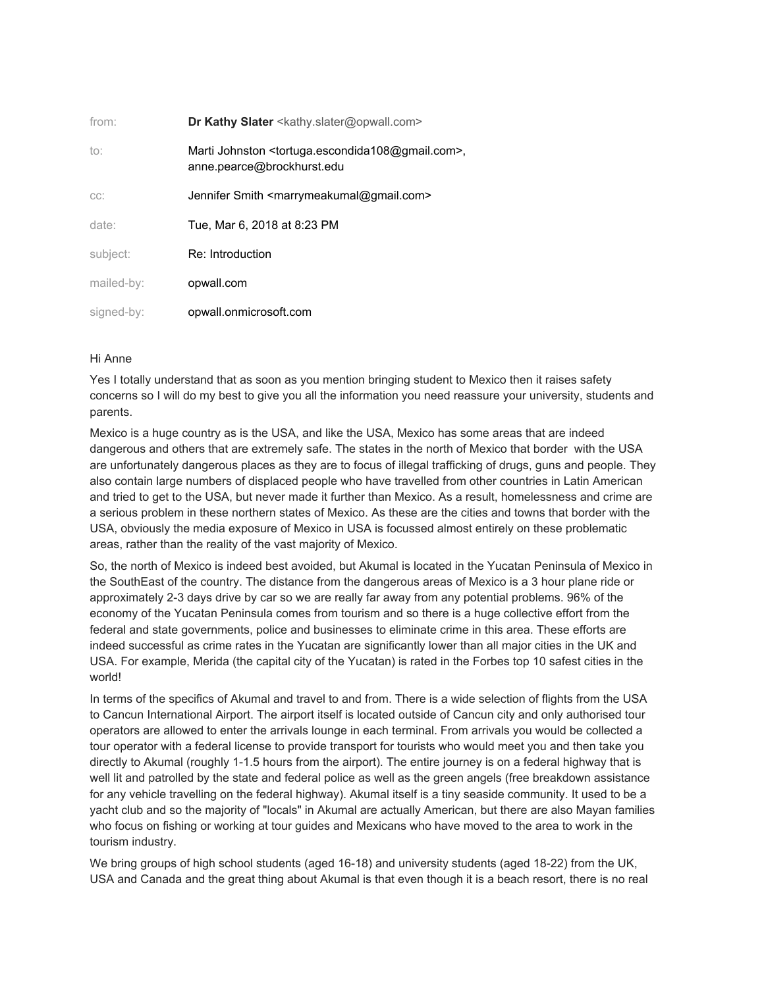| from:      | <b>Dr Kathy Slater</b> <kathy.slater@opwall.com></kathy.slater@opwall.com>                                       |
|------------|------------------------------------------------------------------------------------------------------------------|
| to:        | Marti Johnston <tortuga.escondida108@gmail.com>,<br/>anne.pearce@brockhurst.edu</tortuga.escondida108@gmail.com> |
| CC:        | Jennifer Smith <marrymeakumal@gmail.com></marrymeakumal@gmail.com>                                               |
| date:      | Tue, Mar 6, 2018 at 8:23 PM                                                                                      |
| subject:   | Re: Introduction                                                                                                 |
| mailed-by: | opwall.com                                                                                                       |
| signed-by: | opwall.onmicrosoft.com                                                                                           |

## Hi Anne

Yes I totally understand that as soon as you mention bringing student to Mexico then it raises safety concerns so I will do my best to give you all the information you need reassure your university, students and parents.

Mexico is a huge country as is the USA, and like the USA, Mexico has some areas that are indeed dangerous and others that are extremely safe. The states in the north of Mexico that border with the USA are unfortunately dangerous places as they are to focus of illegal trafficking of drugs, guns and people. They also contain large numbers of displaced people who have travelled from other countries in Latin American and tried to get to the USA, but never made it further than Mexico. As a result, homelessness and crime are a serious problem in these northern states of Mexico. As these are the cities and towns that border with the USA, obviously the media exposure of Mexico in USA is focussed almost entirely on these problematic areas, rather than the reality of the vast majority of Mexico.

So, the north of Mexico is indeed best avoided, but Akumal is located in the Yucatan Peninsula of Mexico in the SouthEast of the country. The distance from the dangerous areas of Mexico is a 3 hour plane ride or approximately 2-3 days drive by car so we are really far away from any potential problems. 96% of the economy of the Yucatan Peninsula comes from tourism and so there is a huge collective effort from the federal and state governments, police and businesses to eliminate crime in this area. These efforts are indeed successful as crime rates in the Yucatan are significantly lower than all major cities in the UK and USA. For example, Merida (the capital city of the Yucatan) is rated in the Forbes top 10 safest cities in the world!

In terms of the specifics of Akumal and travel to and from. There is a wide selection of flights from the USA to Cancun International Airport. The airport itself is located outside of Cancun city and only authorised tour operators are allowed to enter the arrivals lounge in each terminal. From arrivals you would be collected a tour operator with a federal license to provide transport for tourists who would meet you and then take you directly to Akumal (roughly 1-1.5 hours from the airport). The entire journey is on a federal highway that is well lit and patrolled by the state and federal police as well as the green angels (free breakdown assistance for any vehicle travelling on the federal highway). Akumal itself is a tiny seaside community. It used to be a yacht club and so the majority of "locals" in Akumal are actually American, but there are also Mayan families who focus on fishing or working at tour guides and Mexicans who have moved to the area to work in the tourism industry.

We bring groups of high school students (aged 16-18) and university students (aged 18-22) from the UK, USA and Canada and the great thing about Akumal is that even though it is a beach resort, there is no real